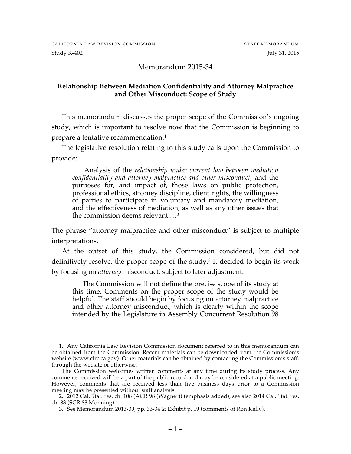#### Study K-402 July 31, 2015

#### Memorandum 2015-34

#### **Relationship Between Mediation Confidentiality and Attorney Malpractice and Other Misconduct: Scope of Study**

This memorandum discusses the proper scope of the Commission's ongoing study, which is important to resolve now that the Commission is beginning to prepare a tentative recommendation.1

The legislative resolution relating to this study calls upon the Commission to provide:

Analysis of the *relationship under current law between mediation confidentiality and attorney malpractice and other misconduct,* and the purposes for, and impact of, those laws on public protection, professional ethics, attorney discipline, client rights, the willingness of parties to participate in voluntary and mandatory mediation, and the effectiveness of mediation, as well as any other issues that the commission deems relevant.…2

The phrase "attorney malpractice and other misconduct" is subject to multiple interpretations.

At the outset of this study, the Commission considered, but did not definitively resolve, the proper scope of the study.3 It decided to begin its work by focusing on *attorney* misconduct, subject to later adjustment:

The Commission will not define the precise scope of its study at this time. Comments on the proper scope of the study would be helpful. The staff should begin by focusing on attorney malpractice and other attorney misconduct, which is clearly within the scope intended by the Legislature in Assembly Concurrent Resolution 98

 <sup>1.</sup> Any California Law Revision Commission document referred to in this memorandum can be obtained from the Commission. Recent materials can be downloaded from the Commission's website (www.clrc.ca.gov). Other materials can be obtained by contacting the Commission's staff, through the website or otherwise.

The Commission welcomes written comments at any time during its study process. Any comments received will be a part of the public record and may be considered at a public meeting. However, comments that are received less than five business days prior to a Commission meeting may be presented without staff analysis.

<sup>2.</sup> 2012 Cal. Stat. res. ch. 108 (ACR 98 (Wagner)) (emphasis added); see also 2014 Cal. Stat. res. ch. 83 (SCR 83 Monning).

<sup>3.</sup> See Memorandum 2013-39, pp. 33-34 & Exhibit p. 19 (comments of Ron Kelly).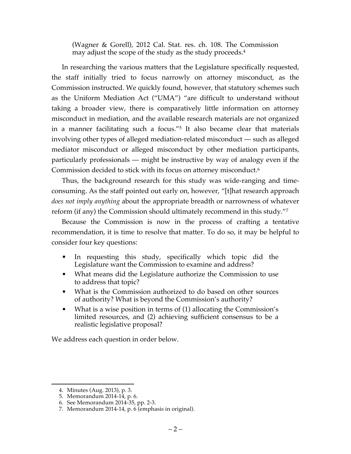(Wagner & Gorell), 2012 Cal. Stat. res. ch. 108. The Commission may adjust the scope of the study as the study proceeds.4

In researching the various matters that the Legislature specifically requested, the staff initially tried to focus narrowly on attorney misconduct, as the Commission instructed. We quickly found, however, that statutory schemes such as the Uniform Mediation Act ("UMA") "are difficult to understand without taking a broader view, there is comparatively little information on attorney misconduct in mediation, and the available research materials are not organized in a manner facilitating such a focus."5 It also became clear that materials involving other types of alleged mediation-related misconduct — such as alleged mediator misconduct or alleged misconduct by other mediation participants, particularly professionals — might be instructive by way of analogy even if the Commission decided to stick with its focus on attorney misconduct.6

Thus, the background research for this study was wide-ranging and timeconsuming. As the staff pointed out early on, however, "[t]hat research approach *does not imply anything* about the appropriate breadth or narrowness of whatever reform (if any) the Commission should ultimately recommend in this study."7

Because the Commission is now in the process of crafting a tentative recommendation, it is time to resolve that matter. To do so, it may be helpful to consider four key questions:

- In requesting this study, specifically which topic did the Legislature want the Commission to examine and address?
- What means did the Legislature authorize the Commission to use to address that topic?
- What is the Commission authorized to do based on other sources of authority? What is beyond the Commission's authority?
- What is a wise position in terms of (1) allocating the Commission's limited resources, and (2) achieving sufficient consensus to be a realistic legislative proposal?

We address each question in order below.

 <sup>4.</sup> Minutes (Aug. 2013), p. 3.

<sup>5.</sup> Memorandum 2014-14, p. 6.

<sup>6.</sup> See Memorandum 2014-35, pp. 2-3.

<sup>7.</sup> Memorandum 2014-14, p. 6 (emphasis in original).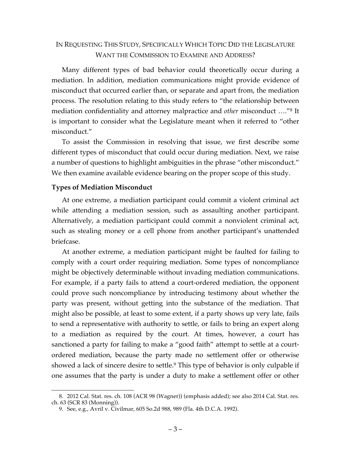### IN REQUESTING THIS STUDY, SPECIFICALLY WHICH TOPIC DID THE LEGISLATURE WANT THE COMMISSION TO EXAMINE AND ADDRESS?

Many different types of bad behavior could theoretically occur during a mediation. In addition, mediation communications might provide evidence of misconduct that occurred earlier than, or separate and apart from, the mediation process. The resolution relating to this study refers to "the relationship between mediation confidentiality and attorney malpractice and *other* misconduct …."8 It is important to consider what the Legislature meant when it referred to "other misconduct."

To assist the Commission in resolving that issue, we first describe some different types of misconduct that could occur during mediation. Next, we raise a number of questions to highlight ambiguities in the phrase "other misconduct." We then examine available evidence bearing on the proper scope of this study.

### **Types of Mediation Misconduct**

At one extreme, a mediation participant could commit a violent criminal act while attending a mediation session, such as assaulting another participant. Alternatively, a mediation participant could commit a nonviolent criminal act, such as stealing money or a cell phone from another participant's unattended briefcase.

At another extreme, a mediation participant might be faulted for failing to comply with a court order requiring mediation. Some types of noncompliance might be objectively determinable without invading mediation communications. For example, if a party fails to attend a court-ordered mediation, the opponent could prove such noncompliance by introducing testimony about whether the party was present, without getting into the substance of the mediation. That might also be possible, at least to some extent, if a party shows up very late, fails to send a representative with authority to settle, or fails to bring an expert along to a mediation as required by the court. At times, however, a court has sanctioned a party for failing to make a "good faith" attempt to settle at a courtordered mediation, because the party made no settlement offer or otherwise showed a lack of sincere desire to settle.<sup>9</sup> This type of behavior is only culpable if one assumes that the party is under a duty to make a settlement offer or other

 <sup>8.</sup> 2012 Cal. Stat. res. ch. 108 (ACR 98 (Wagner)) (emphasis added); see also 2014 Cal. Stat. res. ch. 63 (SCR 83 (Monning)).

<sup>9.</sup> See, e.g., Avril v. Civilmar, 605 So.2d 988, 989 (Fla. 4th D.C.A. 1992).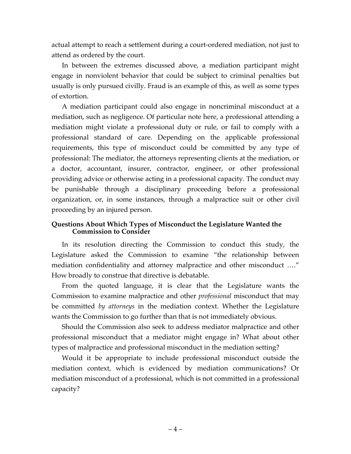actual attempt to reach a settlement during a court-ordered mediation, not just to attend as ordered by the court.

In between the extremes discussed above, a mediation participant might engage in nonviolent behavior that could be subject to criminal penalties but usually is only pursued civilly. Fraud is an example of this, as well as some types of extortion.

A mediation participant could also engage in noncriminal misconduct at a mediation, such as negligence. Of particular note here, a professional attending a mediation might violate a professional duty or rule, or fail to comply with a professional standard of care. Depending on the applicable professional requirements, this type of misconduct could be committed by any type of professional: The mediator, the attorneys representing clients at the mediation, or a doctor, accountant, insurer, contractor, engineer, or other professional providing advice or otherwise acting in a professional capacity. The conduct may be punishable through a disciplinary proceeding before a professional organization, or, in some instances, through a malpractice suit or other civil proceeding by an injured person.

### **Questions About Which Types of Misconduct the Legislature Wanted the Commission to Consider**

In its resolution directing the Commission to conduct this study, the Legislature asked the Commission to examine "the relationship between mediation confidentiality and attorney malpractice and other misconduct …." How broadly to construe that directive is debatable.

From the quoted language, it is clear that the Legislature wants the Commission to examine malpractice and other *professional* misconduct that may be committed *by attorneys* in the mediation context. Whether the Legislature wants the Commission to go further than that is not immediately obvious.

Should the Commission also seek to address mediator malpractice and other professional misconduct that a mediator might engage in? What about other types of malpractice and professional misconduct in the mediation setting?

Would it be appropriate to include professional misconduct outside the mediation context, which is evidenced by mediation communications? Or mediation misconduct of a professional, which is not committed in a professional capacity?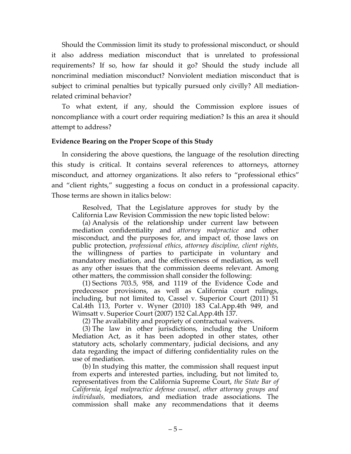Should the Commission limit its study to professional misconduct, or should it also address mediation misconduct that is unrelated to professional requirements? If so, how far should it go? Should the study include all noncriminal mediation misconduct? Nonviolent mediation misconduct that is subject to criminal penalties but typically pursued only civilly? All mediationrelated criminal behavior?

To what extent, if any, should the Commission explore issues of noncompliance with a court order requiring mediation? Is this an area it should attempt to address?

### **Evidence Bearing on the Proper Scope of this Study**

In considering the above questions, the language of the resolution directing this study is critical. It contains several references to attorneys, attorney misconduct, and attorney organizations. It also refers to "professional ethics" and "client rights," suggesting a focus on conduct in a professional capacity. Those terms are shown in italics below:

Resolved, That the Legislature approves for study by the California Law Revision Commission the new topic listed below:

(a) Analysis of the relationship under current law between mediation confidentiality and *attorney malpractice* and other misconduct, and the purposes for, and impact of, those laws on public protection, *professional ethics*, *attorney discipline, client rights,* the willingness of parties to participate in voluntary and mandatory mediation, and the effectiveness of mediation, as well as any other issues that the commission deems relevant. Among other matters, the commission shall consider the following:

(1) Sections 703.5, 958, and 1119 of the Evidence Code and predecessor provisions, as well as California court rulings, including, but not limited to, Cassel v. Superior Court (2011) 51 Cal.4th 113, Porter v. Wyner (2010) 183 Cal.App.4th 949, and Wimsatt v. Superior Court (2007) 152 Cal.App.4th 137.

(2) The availability and propriety of contractual waivers.

(3) The law in other jurisdictions, including the Uniform Mediation Act, as it has been adopted in other states, other statutory acts, scholarly commentary, judicial decisions, and any data regarding the impact of differing confidentiality rules on the use of mediation.

(b) In studying this matter, the commission shall request input from experts and interested parties, including, but not limited to, representatives from the California Supreme Court, *the State Bar of California, legal malpractice defense counsel, other attorney groups and individuals,* mediators, and mediation trade associations. The commission shall make any recommendations that it deems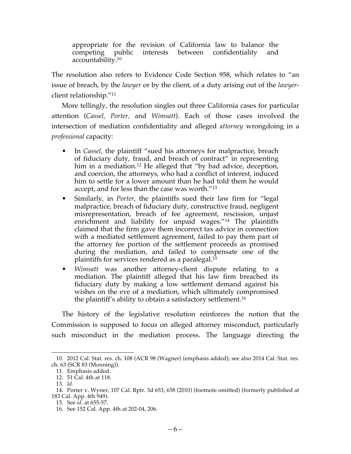appropriate for the revision of California law to balance the competing public interests between confidentiality and accountability.10

The resolution also refers to Evidence Code Section 958, which relates to "an issue of breach, by the *lawyer* or by the client, of a duty arising out of the *lawyer*client relationship."11

More tellingly, the resolution singles out three California cases for particular attention (*Cassel, Porter,* and *Wimsatt*). Each of those cases involved the intersection of mediation confidentiality and alleged *attorney* wrongdoing in a *professional* capacity:

- In *Cassel,* the plaintiff "sued his attorneys for malpractice, breach of fiduciary duty, fraud, and breach of contract" in representing him in a mediation.<sup>12</sup> He alleged that "by bad advice, deception, and coercion, the attorneys, who had a conflict of interest, induced him to settle for a lower amount than he had told them he would accept, and for less than the case was worth."13
- Similarly, in *Porter*, the plaintiffs sued their law firm for "legal malpractice, breach of fiduciary duty, constructive fraud, negligent misrepresentation, breach of fee agreement, rescission, unjust enrichment and liability for unpaid wages."<sup>14</sup> The plaintiffs claimed that the firm gave them incorrect tax advice in connection with a mediated settlement agreement, failed to pay them part of the attorney fee portion of the settlement proceeds as promised during the mediation, and failed to compensate one of the plaintiffs for services rendered as a paralegal.15
- *Wimsatt* was another attorney-client dispute relating to a mediation. The plaintiff alleged that his law firm breached its fiduciary duty by making a low settlement demand against his wishes on the eve of a mediation, which ultimately compromised the plaintiff's ability to obtain a satisfactory settlement.16

The history of the legislative resolution reinforces the notion that the Commission is supposed to focus on alleged attorney misconduct, particularly such misconduct in the mediation process. The language directing the

 <sup>10.</sup> 2012 Cal. Stat. res. ch. 108 (ACR 98 (Wagner) (emphasis added); see also 2014 Cal. Stat. res. ch. 63 (SCR 83 (Monning)).

<sup>11.</sup> Emphasis added.

<sup>12.</sup> 51 Cal. 4th at 118.

<sup>13.</sup> *Id.*

<sup>14.</sup> Porter v. Wyner, 107 Cal. Rptr. 3d 653, 658 (2010) (footnote omitted) (formerly published at 183 Cal. App. 4th 949).

<sup>15.</sup> See *id.* at 655-57.

<sup>16.</sup> See 152 Cal. App. 4th at 202-04, 206.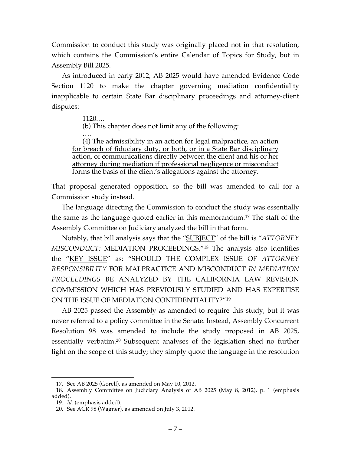Commission to conduct this study was originally placed not in that resolution, which contains the Commission's entire Calendar of Topics for Study, but in Assembly Bill 2025.

As introduced in early 2012, AB 2025 would have amended Evidence Code Section 1120 to make the chapter governing mediation confidentiality inapplicable to certain State Bar disciplinary proceedings and attorney-client disputes:

1120.…

(b) This chapter does not limit any of the following:

…. (4) The admissibility in an action for legal malpractice, an action for breach of fiduciary duty, or both, or in a State Bar disciplinary action, of communications directly between the client and his or her attorney during mediation if professional negligence or misconduct forms the basis of the client's allegations against the attorney.

That proposal generated opposition, so the bill was amended to call for a Commission study instead.

The language directing the Commission to conduct the study was essentially the same as the language quoted earlier in this memorandum.17 The staff of the Assembly Committee on Judiciary analyzed the bill in that form.

Notably, that bill analysis says that the "SUBJECT" of the bill is "*ATTORNEY MISCONDUCT:* MEDIATION PROCEEDINGS."18 The analysis also identifies the "KEY ISSUE" as: "SHOULD THE COMPLEX ISSUE OF *ATTORNEY RESPONSIBILITY* FOR MALPRACTICE AND MISCONDUCT *IN MEDIATION PROCEEDINGS* BE ANALYZED BY THE CALIFORNIA LAW REVISION COMMISSION WHICH HAS PREVIOUSLY STUDIED AND HAS EXPERTISE ON THE ISSUE OF MEDIATION CONFIDENTIALITY?"19

AB 2025 passed the Assembly as amended to require this study, but it was never referred to a policy committee in the Senate. Instead, Assembly Concurrent Resolution 98 was amended to include the study proposed in AB 2025, essentially verbatim.20 Subsequent analyses of the legislation shed no further light on the scope of this study; they simply quote the language in the resolution

 <sup>17.</sup> See AB 2025 (Gorell), as amended on May 10, 2012.

<sup>18.</sup> Assembly Committee on Judiciary Analysis of AB 2025 (May 8, 2012), p. 1 (emphasis added).

<sup>19.</sup> *Id.* (emphasis added).

<sup>20.</sup> See ACR 98 (Wagner), as amended on July 3, 2012.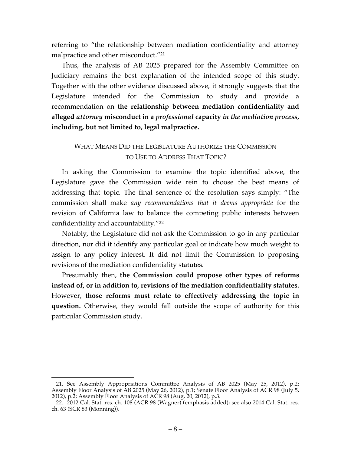referring to "the relationship between mediation confidentiality and attorney malpractice and other misconduct."21

Thus, the analysis of AB 2025 prepared for the Assembly Committee on Judiciary remains the best explanation of the intended scope of this study. Together with the other evidence discussed above, it strongly suggests that the Legislature intended for the Commission to study and provide a recommendation on **the relationship between mediation confidentiality and alleged** *attorney* **misconduct in a** *professional* **capacity** *in the mediation process***, including, but not limited to, legal malpractice.**

## WHAT MEANS DID THE LEGISLATURE AUTHORIZE THE COMMISSION TO USE TO ADDRESS THAT TOPIC?

In asking the Commission to examine the topic identified above, the Legislature gave the Commission wide rein to choose the best means of addressing that topic. The final sentence of the resolution says simply: "The commission shall make *any recommendations that it deems appropriate* for the revision of California law to balance the competing public interests between confidentiality and accountability."22

Notably, the Legislature did not ask the Commission to go in any particular direction, nor did it identify any particular goal or indicate how much weight to assign to any policy interest. It did not limit the Commission to proposing revisions of the mediation confidentiality statutes.

Presumably then, **the Commission could propose other types of reforms instead of, or in addition to, revisions of the mediation confidentiality statutes.**  However, **those reforms must relate to effectively addressing the topic in question.** Otherwise, they would fall outside the scope of authority for this particular Commission study.

 <sup>21.</sup> See Assembly Appropriations Committee Analysis of AB 2025 (May 25, 2012), p.2; Assembly Floor Analysis of AB 2025 (May 26, 2012), p.1; Senate Floor Analysis of ACR 98 (July 5, 2012), p.2; Assembly Floor Analysis of ACR 98 (Aug. 20, 2012), p.3.

<sup>22.</sup> 2012 Cal. Stat. res. ch. 108 (ACR 98 (Wagner) (emphasis added); see also 2014 Cal. Stat. res. ch. 63 (SCR 83 (Monning)).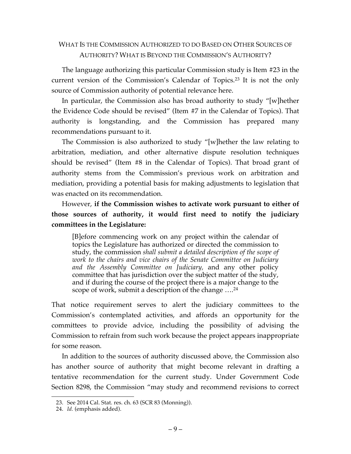### WHAT IS THE COMMISSION AUTHORIZED TO DO BASED ON OTHER SOURCES OF AUTHORITY? WHAT IS BEYOND THE COMMISSION'S AUTHORITY?

The language authorizing this particular Commission study is Item #23 in the current version of the Commission's Calendar of Topics. <sup>23</sup> It is not the only source of Commission authority of potential relevance here.

In particular, the Commission also has broad authority to study "[w]hether the Evidence Code should be revised" (Item #7 in the Calendar of Topics). That authority is longstanding, and the Commission has prepared many recommendations pursuant to it.

The Commission is also authorized to study "[w]hether the law relating to arbitration, mediation, and other alternative dispute resolution techniques should be revised" (Item #8 in the Calendar of Topics). That broad grant of authority stems from the Commission's previous work on arbitration and mediation, providing a potential basis for making adjustments to legislation that was enacted on its recommendation.

However, **if the Commission wishes to activate work pursuant to either of those sources of authority, it would first need to notify the judiciary committees in the Legislature:**

[B]efore commencing work on any project within the calendar of topics the Legislature has authorized or directed the commission to study, the commission *shall submit a detailed description of the scope of work to the chairs and vice chairs of the Senate Committee on Judiciary and the Assembly Committee on Judiciary,* and any other policy committee that has jurisdiction over the subject matter of the study, and if during the course of the project there is a major change to the scope of work, submit a description of the change ....<sup>24</sup>

That notice requirement serves to alert the judiciary committees to the Commission's contemplated activities, and affords an opportunity for the committees to provide advice, including the possibility of advising the Commission to refrain from such work because the project appears inappropriate for some reason.

In addition to the sources of authority discussed above, the Commission also has another source of authority that might become relevant in drafting a tentative recommendation for the current study. Under Government Code Section 8298, the Commission "may study and recommend revisions to correct

 <sup>23.</sup> See 2014 Cal. Stat. res. ch. 63 (SCR 83 (Monning)).

<sup>24.</sup> *Id.* (emphasis added).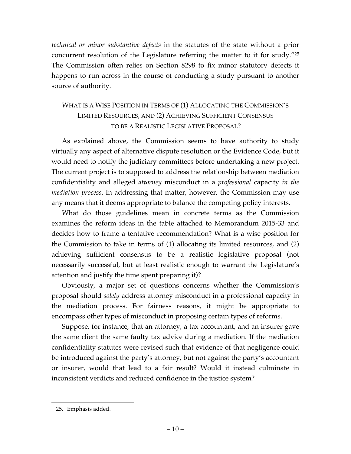*technical or minor substantive defects* in the statutes of the state without a prior concurrent resolution of the Legislature referring the matter to it for study."25 The Commission often relies on Section 8298 to fix minor statutory defects it happens to run across in the course of conducting a study pursuant to another source of authority.

# WHAT IS A WISE POSITION IN TERMS OF (1) ALLOCATING THE COMMISSION'S LIMITED RESOURCES, AND (2) ACHIEVING SUFFICIENT CONSENSUS TO BE A REALISTIC LEGISLATIVE PROPOSAL?

As explained above, the Commission seems to have authority to study virtually any aspect of alternative dispute resolution or the Evidence Code, but it would need to notify the judiciary committees before undertaking a new project. The current project is to supposed to address the relationship between mediation confidentiality and alleged *attorney* misconduct in a *professional* capacity *in the mediation process*. In addressing that matter, however, the Commission may use any means that it deems appropriate to balance the competing policy interests.

What do those guidelines mean in concrete terms as the Commission examines the reform ideas in the table attached to Memorandum 2015-33 and decides how to frame a tentative recommendation? What is a wise position for the Commission to take in terms of (1) allocating its limited resources, and (2) achieving sufficient consensus to be a realistic legislative proposal (not necessarily successful, but at least realistic enough to warrant the Legislature's attention and justify the time spent preparing it)?

Obviously, a major set of questions concerns whether the Commission's proposal should *solely* address attorney misconduct in a professional capacity in the mediation process. For fairness reasons, it might be appropriate to encompass other types of misconduct in proposing certain types of reforms.

Suppose, for instance, that an attorney, a tax accountant, and an insurer gave the same client the same faulty tax advice during a mediation. If the mediation confidentiality statutes were revised such that evidence of that negligence could be introduced against the party's attorney, but not against the party's accountant or insurer, would that lead to a fair result? Would it instead culminate in inconsistent verdicts and reduced confidence in the justice system?

 <sup>25.</sup> Emphasis added.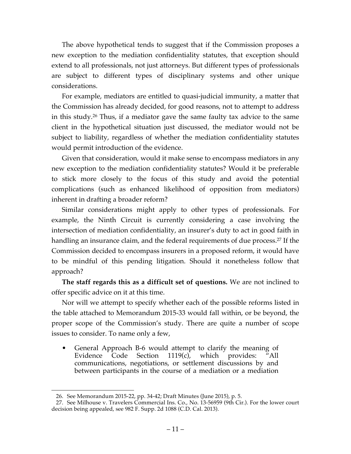The above hypothetical tends to suggest that if the Commission proposes a new exception to the mediation confidentiality statutes, that exception should extend to all professionals, not just attorneys. But different types of professionals are subject to different types of disciplinary systems and other unique considerations.

For example, mediators are entitled to quasi-judicial immunity, a matter that the Commission has already decided, for good reasons, not to attempt to address in this study.26 Thus, if a mediator gave the same faulty tax advice to the same client in the hypothetical situation just discussed, the mediator would not be subject to liability, regardless of whether the mediation confidentiality statutes would permit introduction of the evidence.

Given that consideration, would it make sense to encompass mediators in any new exception to the mediation confidentiality statutes? Would it be preferable to stick more closely to the focus of this study and avoid the potential complications (such as enhanced likelihood of opposition from mediators) inherent in drafting a broader reform?

Similar considerations might apply to other types of professionals. For example, the Ninth Circuit is currently considering a case involving the intersection of mediation confidentiality, an insurer's duty to act in good faith in handling an insurance claim, and the federal requirements of due process. <sup>27</sup> If the Commission decided to encompass insurers in a proposed reform, it would have to be mindful of this pending litigation. Should it nonetheless follow that approach?

**The staff regards this as a difficult set of questions.** We are not inclined to offer specific advice on it at this time.

Nor will we attempt to specify whether each of the possible reforms listed in the table attached to Memorandum 2015-33 would fall within, or be beyond, the proper scope of the Commission's study. There are quite a number of scope issues to consider. To name only a few,

• General Approach B-6 would attempt to clarify the meaning of Evidence Code Section 1119(c), which provides: "All communications, negotiations, or settlement discussions by and between participants in the course of a mediation or a mediation

 <sup>26.</sup> See Memorandum 2015-22, pp. 34-42; Draft Minutes (June 2015), p. 5.

<sup>27.</sup> See Milhouse v. Travelers Commercial Ins. Co., No. 13-56959 (9th Cir.). For the lower court decision being appealed, see 982 F. Supp. 2d 1088 (C.D. Cal. 2013).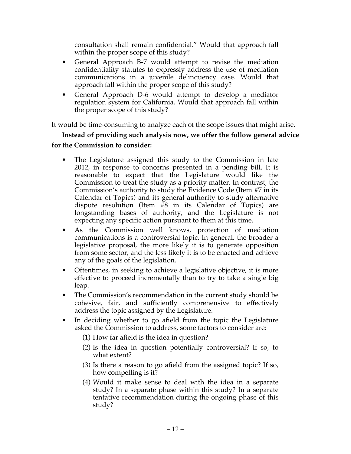consultation shall remain confidential." Would that approach fall within the proper scope of this study?

- General Approach B-7 would attempt to revise the mediation confidentiality statutes to expressly address the use of mediation communications in a juvenile delinquency case. Would that approach fall within the proper scope of this study?
- General Approach D-6 would attempt to develop a mediator regulation system for California. Would that approach fall within the proper scope of this study?

It would be time-consuming to analyze each of the scope issues that might arise.

# **Instead of providing such analysis now, we offer the follow general advice for the Commission to consider:**

- The Legislature assigned this study to the Commission in late 2012, in response to concerns presented in a pending bill. It is reasonable to expect that the Legislature would like the Commission to treat the study as a priority matter. In contrast, the Commission's authority to study the Evidence Code (Item #7 in its Calendar of Topics) and its general authority to study alternative dispute resolution (Item #8 in its Calendar of Topics) are longstanding bases of authority, and the Legislature is not expecting any specific action pursuant to them at this time.
- As the Commission well knows, protection of mediation communications is a controversial topic. In general, the broader a legislative proposal, the more likely it is to generate opposition from some sector, and the less likely it is to be enacted and achieve any of the goals of the legislation.
- Oftentimes, in seeking to achieve a legislative objective, it is more effective to proceed incrementally than to try to take a single big leap.
- The Commission's recommendation in the current study should be cohesive, fair, and sufficiently comprehensive to effectively address the topic assigned by the Legislature.
- In deciding whether to go afield from the topic the Legislature asked the Commission to address, some factors to consider are:

(1) How far afield is the idea in question?

- (2) Is the idea in question potentially controversial? If so, to what extent?
- (3) Is there a reason to go afield from the assigned topic? If so, how compelling is it?
- (4) Would it make sense to deal with the idea in a separate study? In a separate phase within this study? In a separate tentative recommendation during the ongoing phase of this study?